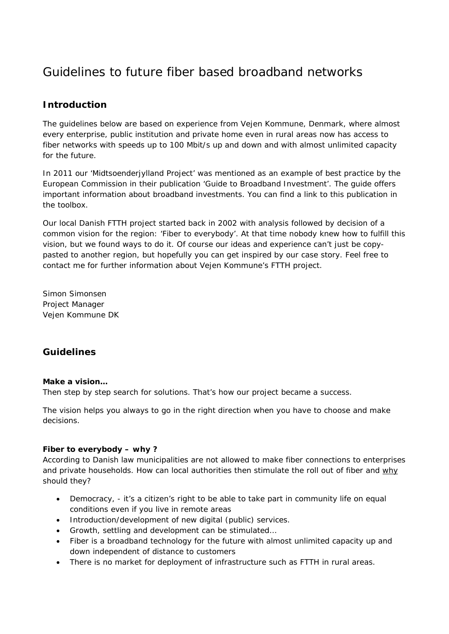# Guidelines to future fiber based broadband networks

## **Introduction**

The guidelines below are based on experience from Vejen Kommune, Denmark, where almost every enterprise, public institution and private home even in rural areas now has access to fiber networks with speeds up to 100 Mbit/s up and down and with almost unlimited capacity for the future.

In 2011 our 'Midtsoenderjylland Project' was mentioned as an example of best practice by the European Commission in their publication 'Guide to Broadband Investment'. The guide offers important information about broadband investments. You can find a link to this publication in the toolbox.

Our local Danish FTTH project started back in 2002 with analysis followed by decision of a common vision for the region: 'Fiber to everybody'. At that time nobody knew how to fulfill this vision, but we found ways to do it. Of course our ideas and experience can't just be copypasted to another region, but hopefully you can get inspired by our case story. Feel free to contact me for further information about Vejen Kommune's FTTH project.

*Simon Simonsen Project Manager Vejen Kommune DK* 

## **Guidelines**

### **Make a vision…**

Then step by step search for solutions. That's how our project became a success.

The vision helps you always to go in the right direction when you have to choose and make decisions.

### **Fiber to everybody – why ?**

According to Danish law municipalities are not allowed to make fiber connections to enterprises and private households. How can local authorities then stimulate the roll out of fiber and why should they?

- Democracy, it's a citizen's right to be able to take part in community life on equal conditions even if you live in remote areas
- Introduction/development of new digital (public) services.
- Growth, settling and development can be stimulated…
- Fiber is a broadband technology for the future with almost unlimited capacity up and down independent of distance to customers
- There is no market for deployment of infrastructure such as FTTH in rural areas.